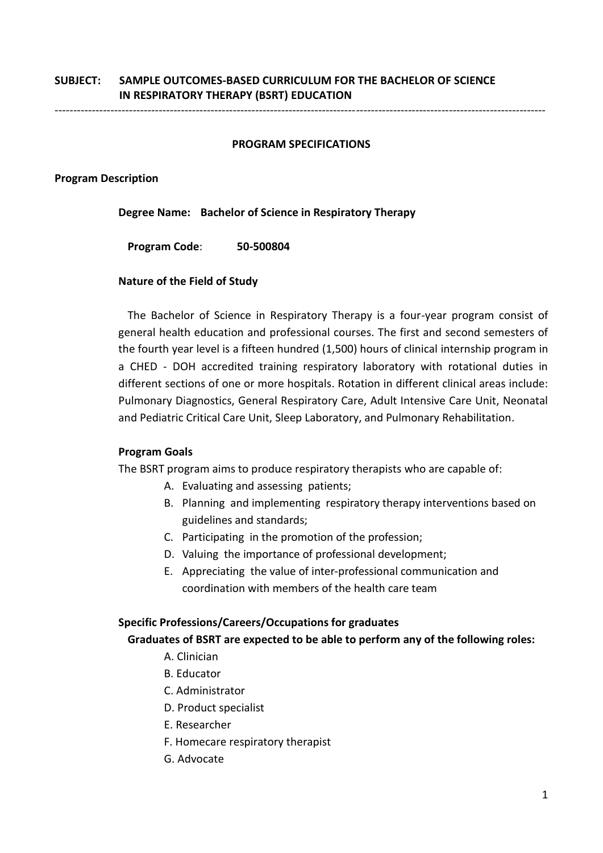# **SUBJECT: SAMPLE OUTCOMES-BASED CURRICULUM FOR THE BACHELOR OF SCIENCE IN RESPIRATORY THERAPY (BSRT) EDUCATION**

------------------------------------------------------------------------------------------------------------------------------------

#### **PROGRAM SPECIFICATIONS**

#### **Program Description**

**Degree Name: Bachelor of Science in Respiratory Therapy**

**Program Code**: **50-500804**

#### **Nature of the Field of Study**

The Bachelor of Science in Respiratory Therapy is a four-year program consist of general health education and professional courses. The first and second semesters of the fourth year level is a fifteen hundred (1,500) hours of clinical internship program in a CHED - DOH accredited training respiratory laboratory with rotational duties in different sections of one or more hospitals. Rotation in different clinical areas include: Pulmonary Diagnostics, General Respiratory Care, Adult Intensive Care Unit, Neonatal and Pediatric Critical Care Unit, Sleep Laboratory, and Pulmonary Rehabilitation.

#### **Program Goals**

The BSRT program aims to produce respiratory therapists who are capable of:

- A. Evaluating and assessing patients;
- B. Planning and implementing respiratory therapy interventions based on guidelines and standards;
- C. Participating in the promotion of the profession;
- D. Valuing the importance of professional development;
- E. Appreciating the value of inter-professional communication and coordination with members of the health care team

#### **Specific Professions/Careers/Occupations for graduates**

#### **Graduates of BSRT are expected to be able to perform any of the following roles:**

- A. Clinician
- B. Educator
- C. Administrator
- D. Product specialist
- E. Researcher
- F. Homecare respiratory therapist
- G. Advocate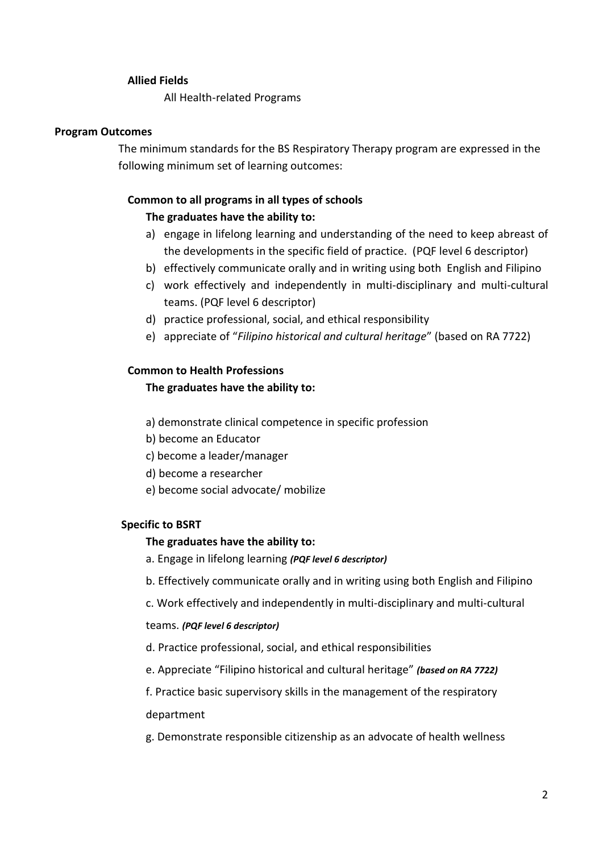#### **Allied Fields**

All Health-related Programs

#### **Program Outcomes**

The minimum standards for the BS Respiratory Therapy program are expressed in the following minimum set of learning outcomes:

# **Common to all programs in all types of schools**

# **The graduates have the ability to:**

- a) engage in lifelong learning and understanding of the need to keep abreast of the developments in the specific field of practice. (PQF level 6 descriptor)
- b) effectively communicate orally and in writing using both English and Filipino
- c) work effectively and independently in multi-disciplinary and multi-cultural teams. (PQF level 6 descriptor)
- d) practice professional, social, and ethical responsibility
- e) appreciate of "*Filipino historical and cultural heritage*" (based on RA 7722)

## **Common to Health Professions**

## **The graduates have the ability to:**

- a) demonstrate clinical competence in specific profession
- b) become an Educator
- c) become a leader/manager
- d) become a researcher
- e) become social advocate/ mobilize

#### **Specific to BSRT**

#### **The graduates have the ability to:**

- a. Engage in lifelong learning *(PQF level 6 descriptor)*
- b. Effectively communicate orally and in writing using both English and Filipino
- c. Work effectively and independently in multi-disciplinary and multi-cultural

#### teams. *(PQF level 6 descriptor)*

- d. Practice professional, social, and ethical responsibilities
- e. Appreciate "Filipino historical and cultural heritage" *(based on RA 7722)*

f. Practice basic supervisory skills in the management of the respiratory department

g. Demonstrate responsible citizenship as an advocate of health wellness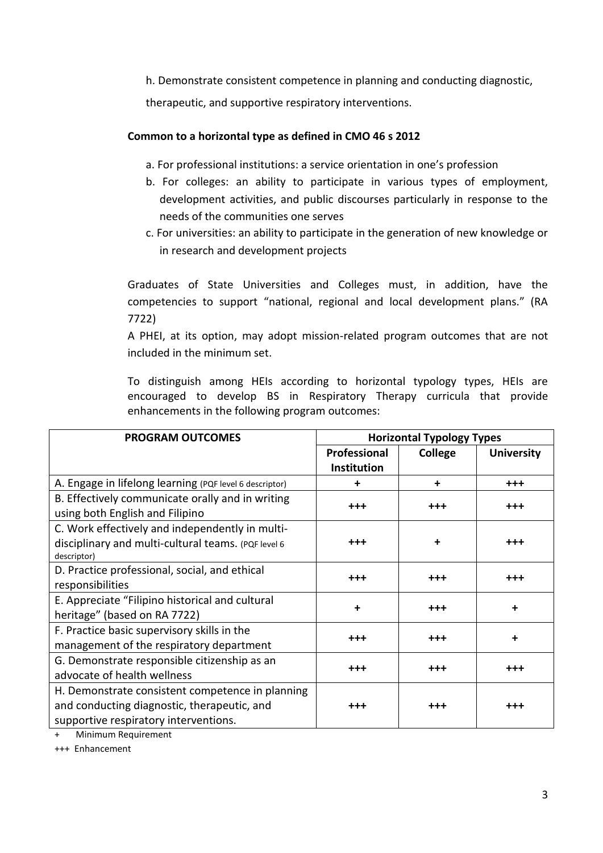h. Demonstrate consistent competence in planning and conducting diagnostic,

therapeutic, and supportive respiratory interventions.

# **Common to a horizontal type as defined in CMO 46 s 2012**

- a. For professional institutions: a service orientation in one's profession
- b. For colleges: an ability to participate in various types of employment, development activities, and public discourses particularly in response to the needs of the communities one serves
- c. For universities: an ability to participate in the generation of new knowledge or in research and development projects

Graduates of State Universities and Colleges must, in addition, have the competencies to support "national, regional and local development plans." (RA 7722)

A PHEI, at its option, may adopt mission-related program outcomes that are not included in the minimum set.

To distinguish among HEIs according to horizontal typology types, HEIs are encouraged to develop BS in Respiratory Therapy curricula that provide enhancements in the following program outcomes:

| <b>PROGRAM OUTCOMES</b>                                 | <b>Horizontal Typology Types</b> |                |                   |  |  |
|---------------------------------------------------------|----------------------------------|----------------|-------------------|--|--|
|                                                         | Professional                     | <b>College</b> | <b>University</b> |  |  |
|                                                         | <b>Institution</b>               |                |                   |  |  |
| A. Engage in lifelong learning (PQF level 6 descriptor) | ٠                                | +              | $+ + +$           |  |  |
| B. Effectively communicate orally and in writing        |                                  | $^{+++}$       | $+ + +$           |  |  |
| using both English and Filipino                         | $+ + +$                          |                |                   |  |  |
| C. Work effectively and independently in multi-         |                                  |                |                   |  |  |
| disciplinary and multi-cultural teams. (PQF level 6     | $^{+++}$                         | ÷              | $^{+++}$          |  |  |
| descriptor)                                             |                                  |                |                   |  |  |
| D. Practice professional, social, and ethical           | $+++$                            | $+++$          | $^{+++}$          |  |  |
| responsibilities                                        |                                  |                |                   |  |  |
| E. Appreciate "Filipino historical and cultural         | $\ddot{}$                        | $^{+++}$       | $\ddot{}$         |  |  |
| heritage" (based on RA 7722)                            |                                  |                |                   |  |  |
| F. Practice basic supervisory skills in the             |                                  |                |                   |  |  |
| management of the respiratory department                | $+++$                            | $+++$          | $\ddot{}$         |  |  |
| G. Demonstrate responsible citizenship as an            |                                  |                |                   |  |  |
| advocate of health wellness                             | $+++$                            | $^{+++}$       | $^{+++}$          |  |  |
| H. Demonstrate consistent competence in planning        |                                  |                |                   |  |  |
| and conducting diagnostic, therapeutic, and             | $^{\rm ++}$                      | $^{+++}$       | $^{+++}$          |  |  |
| supportive respiratory interventions.                   |                                  |                |                   |  |  |

Minimum Requirement

+++ Enhancement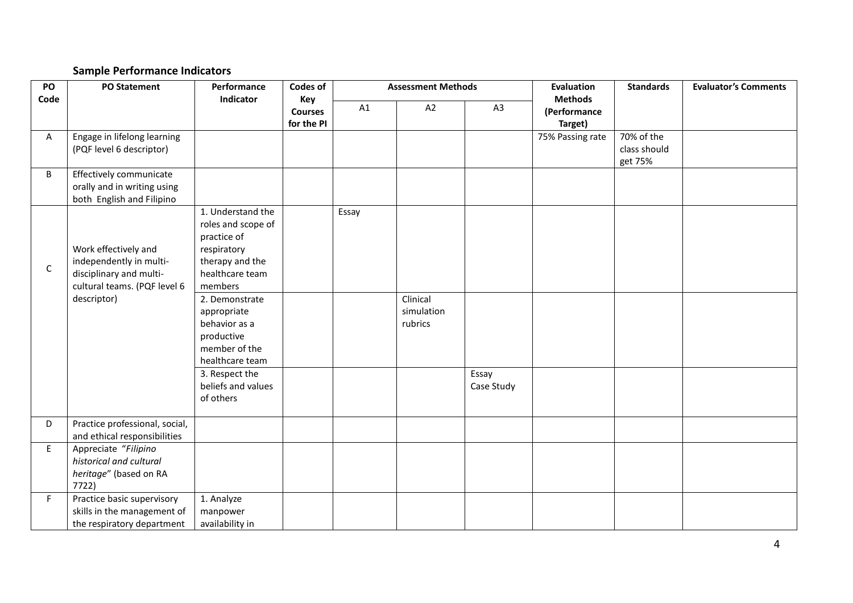# **Sample Performance Indicators**

| PO<br>Code   | <b>PO Statement</b>                                                                                                       | Performance<br>Indicator                                                                                                                                                                                                                                                        | <b>Codes of</b> |                                     | <b>Assessment Methods</b>         |                     | <b>Evaluation</b><br><b>Methods</b> | <b>Standards</b>                      | <b>Evaluator's Comments</b> |  |
|--------------|---------------------------------------------------------------------------------------------------------------------------|---------------------------------------------------------------------------------------------------------------------------------------------------------------------------------------------------------------------------------------------------------------------------------|-----------------|-------------------------------------|-----------------------------------|---------------------|-------------------------------------|---------------------------------------|-----------------------------|--|
|              |                                                                                                                           |                                                                                                                                                                                                                                                                                 |                 | Key<br><b>Courses</b><br>for the PI | A1                                | A2                  | A3                                  | (Performance<br>Target)               |                             |  |
| A            | Engage in lifelong learning<br>(PQF level 6 descriptor)                                                                   |                                                                                                                                                                                                                                                                                 |                 |                                     |                                   |                     | 75% Passing rate                    | 70% of the<br>class should<br>get 75% |                             |  |
| B            | Effectively communicate<br>orally and in writing using<br>both English and Filipino                                       |                                                                                                                                                                                                                                                                                 |                 |                                     |                                   |                     |                                     |                                       |                             |  |
| $\mathsf{C}$ | Work effectively and<br>independently in multi-<br>disciplinary and multi-<br>cultural teams. (PQF level 6<br>descriptor) | 1. Understand the<br>roles and scope of<br>practice of<br>respiratory<br>therapy and the<br>healthcare team<br>members<br>2. Demonstrate<br>appropriate<br>behavior as a<br>productive<br>member of the<br>healthcare team<br>3. Respect the<br>beliefs and values<br>of others |                 | Essay                               | Clinical<br>simulation<br>rubrics | Essay<br>Case Study |                                     |                                       |                             |  |
| D            | Practice professional, social,<br>and ethical responsibilities                                                            |                                                                                                                                                                                                                                                                                 |                 |                                     |                                   |                     |                                     |                                       |                             |  |
| E            | Appreciate "Filipino<br>historical and cultural<br>heritage" (based on RA<br>7722)                                        |                                                                                                                                                                                                                                                                                 |                 |                                     |                                   |                     |                                     |                                       |                             |  |
| F.           | Practice basic supervisory<br>skills in the management of<br>the respiratory department                                   | 1. Analyze<br>manpower<br>availability in                                                                                                                                                                                                                                       |                 |                                     |                                   |                     |                                     |                                       |                             |  |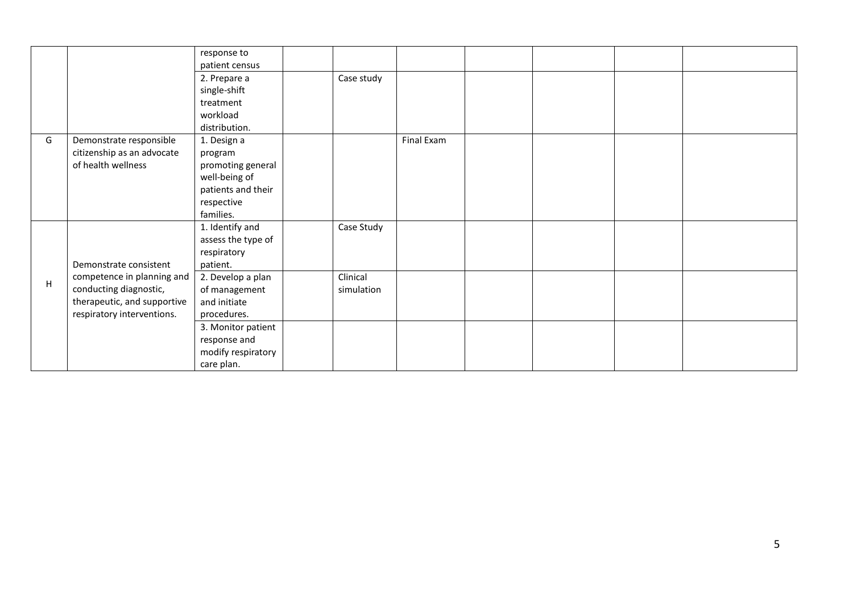|   |                             | response to        |            |            |  |  |
|---|-----------------------------|--------------------|------------|------------|--|--|
|   |                             | patient census     |            |            |  |  |
|   |                             | 2. Prepare a       | Case study |            |  |  |
|   |                             | single-shift       |            |            |  |  |
|   |                             | treatment          |            |            |  |  |
|   |                             | workload           |            |            |  |  |
|   |                             | distribution.      |            |            |  |  |
| G | Demonstrate responsible     | 1. Design a        |            | Final Exam |  |  |
|   | citizenship as an advocate  | program            |            |            |  |  |
|   | of health wellness          | promoting general  |            |            |  |  |
|   |                             | well-being of      |            |            |  |  |
|   |                             | patients and their |            |            |  |  |
|   |                             | respective         |            |            |  |  |
|   |                             | families.          |            |            |  |  |
|   |                             | 1. Identify and    | Case Study |            |  |  |
|   |                             | assess the type of |            |            |  |  |
|   |                             | respiratory        |            |            |  |  |
|   | Demonstrate consistent      | patient.           |            |            |  |  |
| H | competence in planning and  | 2. Develop a plan  | Clinical   |            |  |  |
|   | conducting diagnostic,      | of management      | simulation |            |  |  |
|   | therapeutic, and supportive | and initiate       |            |            |  |  |
|   | respiratory interventions.  | procedures.        |            |            |  |  |
|   |                             | 3. Monitor patient |            |            |  |  |
|   |                             | response and       |            |            |  |  |
|   |                             | modify respiratory |            |            |  |  |
|   |                             | care plan.         |            |            |  |  |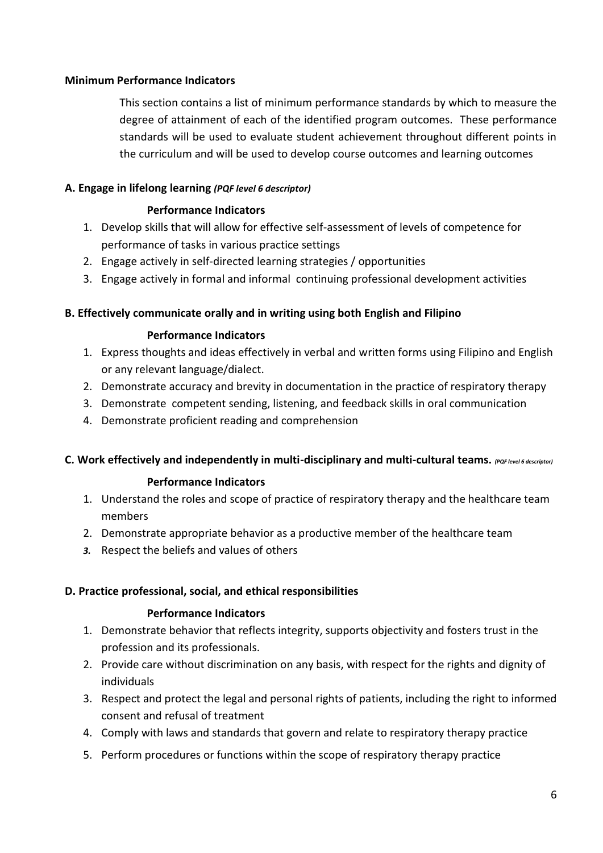# **Minimum Performance Indicators**

This section contains a list of minimum performance standards by which to measure the degree of attainment of each of the identified program outcomes. These performance standards will be used to evaluate student achievement throughout different points in the curriculum and will be used to develop course outcomes and learning outcomes

# **A. Engage in lifelong learning** *(PQF level 6 descriptor)*

# **Performance Indicators**

- 1. Develop skills that will allow for effective self-assessment of levels of competence for performance of tasks in various practice settings
- 2. Engage actively in self-directed learning strategies / opportunities
- 3. Engage actively in formal and informal continuing professional development activities

# **B. Effectively communicate orally and in writing using both English and Filipino**

# **Performance Indicators**

- 1. Express thoughts and ideas effectively in verbal and written forms using Filipino and English or any relevant language/dialect.
- 2. Demonstrate accuracy and brevity in documentation in the practice of respiratory therapy
- 3. Demonstrate competent sending, listening, and feedback skills in oral communication
- 4. Demonstrate proficient reading and comprehension

# **C. Work effectively and independently in multi-disciplinary and multi-cultural teams.** *(PQF level 6 descriptor)*

# **Performance Indicators**

- 1. Understand the roles and scope of practice of respiratory therapy and the healthcare team members
- 2. Demonstrate appropriate behavior as a productive member of the healthcare team
- *3.* Respect the beliefs and values of others

# **D. Practice professional, social, and ethical responsibilities**

# **Performance Indicators**

- 1. Demonstrate behavior that reflects integrity, supports objectivity and fosters trust in the profession and its professionals.
- 2. Provide care without discrimination on any basis, with respect for the rights and dignity of individuals
- 3. Respect and protect the legal and personal rights of patients, including the right to informed consent and refusal of treatment
- 4. Comply with laws and standards that govern and relate to respiratory therapy practice
- 5. Perform procedures or functions within the scope of respiratory therapy practice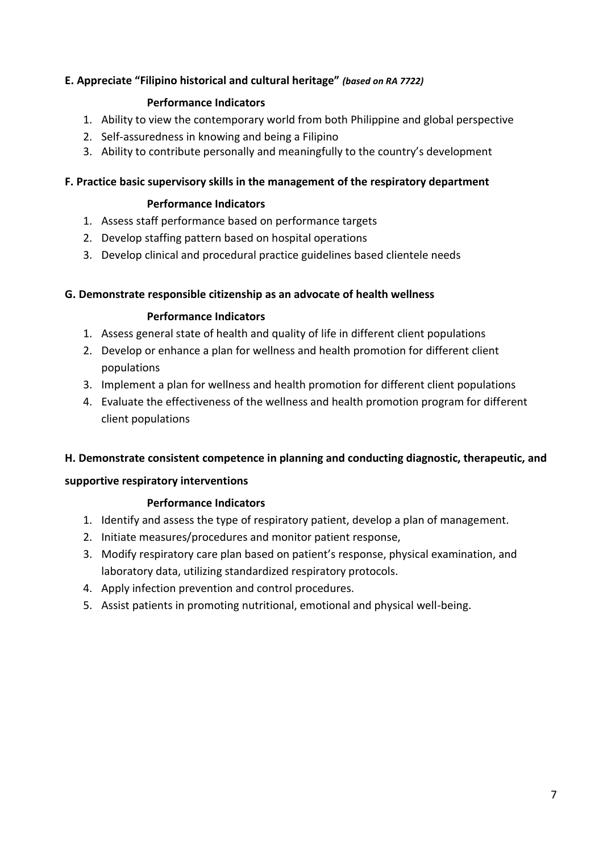# **E. Appreciate "Filipino historical and cultural heritage"** *(based on RA 7722)*

# **Performance Indicators**

- 1. Ability to view the contemporary world from both Philippine and global perspective
- 2. Self-assuredness in knowing and being a Filipino
- 3. Ability to contribute personally and meaningfully to the country's development

#### **F. Practice basic supervisory skills in the management of the respiratory department**

#### **Performance Indicators**

- 1. Assess staff performance based on performance targets
- 2. Develop staffing pattern based on hospital operations
- 3. Develop clinical and procedural practice guidelines based clientele needs

#### **G. Demonstrate responsible citizenship as an advocate of health wellness**

#### **Performance Indicators**

- 1. Assess general state of health and quality of life in different client populations
- 2. Develop or enhance a plan for wellness and health promotion for different client populations
- 3. Implement a plan for wellness and health promotion for different client populations
- 4. Evaluate the effectiveness of the wellness and health promotion program for different client populations

#### **H. Demonstrate consistent competence in planning and conducting diagnostic, therapeutic, and**

#### **supportive respiratory interventions**

# **Performance Indicators**

- 1. Identify and assess the type of respiratory patient, develop a plan of management.
- 2. Initiate measures/procedures and monitor patient response,
- 3. Modify respiratory care plan based on patient's response, physical examination, and laboratory data, utilizing standardized respiratory protocols.
- 4. Apply infection prevention and control procedures.
- 5. Assist patients in promoting nutritional, emotional and physical well-being.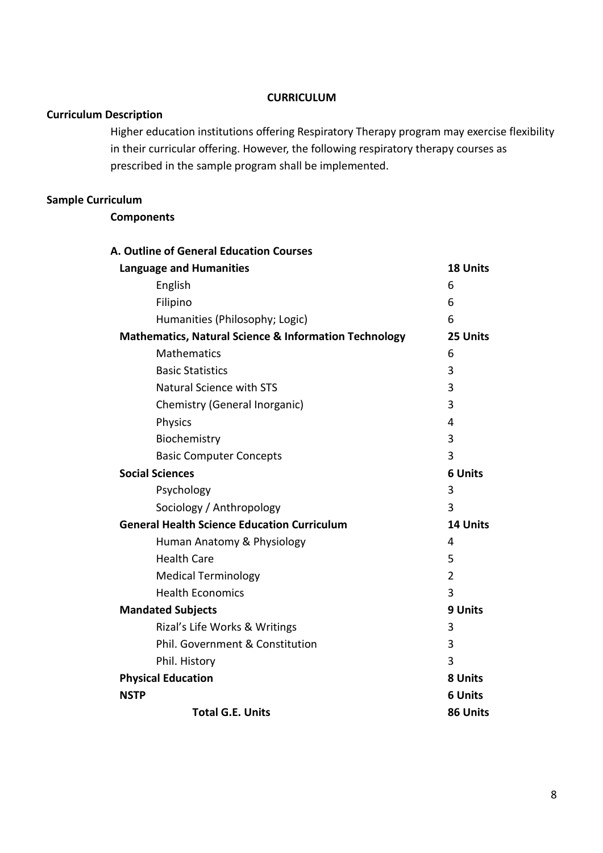#### **CURRICULUM**

# **Curriculum Description**

Higher education institutions offering Respiratory Therapy program may exercise flexibility in their curricular offering. However, the following respiratory therapy courses as prescribed in the sample program shall be implemented.

# **Sample Curriculum**

# **Components**

| <b>A. Outline of General Education Courses</b>                   |                |
|------------------------------------------------------------------|----------------|
| <b>Language and Humanities</b>                                   | 18 Units       |
| English                                                          | 6              |
| Filipino                                                         | 6              |
| Humanities (Philosophy; Logic)                                   | 6              |
| <b>Mathematics, Natural Science &amp; Information Technology</b> | 25 Units       |
| <b>Mathematics</b>                                               | 6              |
| <b>Basic Statistics</b>                                          | 3              |
| <b>Natural Science with STS</b>                                  | 3              |
| Chemistry (General Inorganic)                                    | 3              |
| <b>Physics</b>                                                   | 4              |
| Biochemistry                                                     | 3              |
| <b>Basic Computer Concepts</b>                                   | 3              |
| <b>Social Sciences</b>                                           | <b>6 Units</b> |
| Psychology                                                       | 3              |
| Sociology / Anthropology                                         | 3              |
| <b>General Health Science Education Curriculum</b>               | 14 Units       |
| Human Anatomy & Physiology                                       | 4              |
| <b>Health Care</b>                                               | 5              |
| <b>Medical Terminology</b>                                       | $\overline{2}$ |
| <b>Health Economics</b>                                          | 3              |
| <b>Mandated Subjects</b>                                         | 9 Units        |
| Rizal's Life Works & Writings                                    | 3              |
| Phil. Government & Constitution                                  | 3              |
| Phil. History                                                    | 3              |
| <b>Physical Education</b>                                        | 8 Units        |
| <b>NSTP</b>                                                      | <b>6 Units</b> |
| <b>Total G.E. Units</b>                                          | 86 Units       |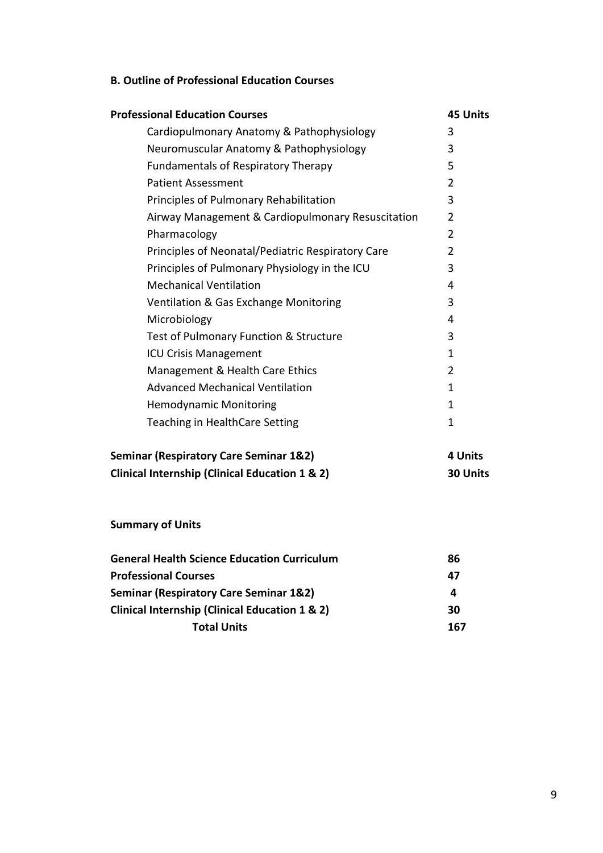# **B. Outline of Professional Education Courses**

| <b>Professional Education Courses</b>             | <b>45 Units</b> |
|---------------------------------------------------|-----------------|
| Cardiopulmonary Anatomy & Pathophysiology         | 3               |
| Neuromuscular Anatomy & Pathophysiology           | 3               |
| <b>Fundamentals of Respiratory Therapy</b>        | 5               |
| <b>Patient Assessment</b>                         | 2               |
| Principles of Pulmonary Rehabilitation            | 3               |
| Airway Management & Cardiopulmonary Resuscitation | $\overline{2}$  |
| Pharmacology                                      | $\overline{2}$  |
| Principles of Neonatal/Pediatric Respiratory Care | 2               |
| Principles of Pulmonary Physiology in the ICU     | 3               |
| <b>Mechanical Ventilation</b>                     | 4               |
| Ventilation & Gas Exchange Monitoring             | 3               |
| Microbiology                                      | 4               |
| Test of Pulmonary Function & Structure            | 3               |
| <b>ICU Crisis Management</b>                      | 1               |
| Management & Health Care Ethics                   | 2               |
| <b>Advanced Mechanical Ventilation</b>            | 1               |
| <b>Hemodynamic Monitoring</b>                     | 1               |
| Teaching in HealthCare Setting                    | 1               |
| <b>Seminar (Respiratory Care Seminar 1&amp;2)</b> | 4 Units         |
| Clinical Internship (Clinical Education 1 & 2)    | 30 Units        |

**Summary of Units**

| <b>General Health Science Education Curriculum</b>        | 86  |
|-----------------------------------------------------------|-----|
| <b>Professional Courses</b>                               | 47  |
| <b>Seminar (Respiratory Care Seminar 1&amp;2)</b>         | 4   |
| <b>Clinical Internship (Clinical Education 1 &amp; 2)</b> | 30  |
| <b>Total Units</b>                                        | 167 |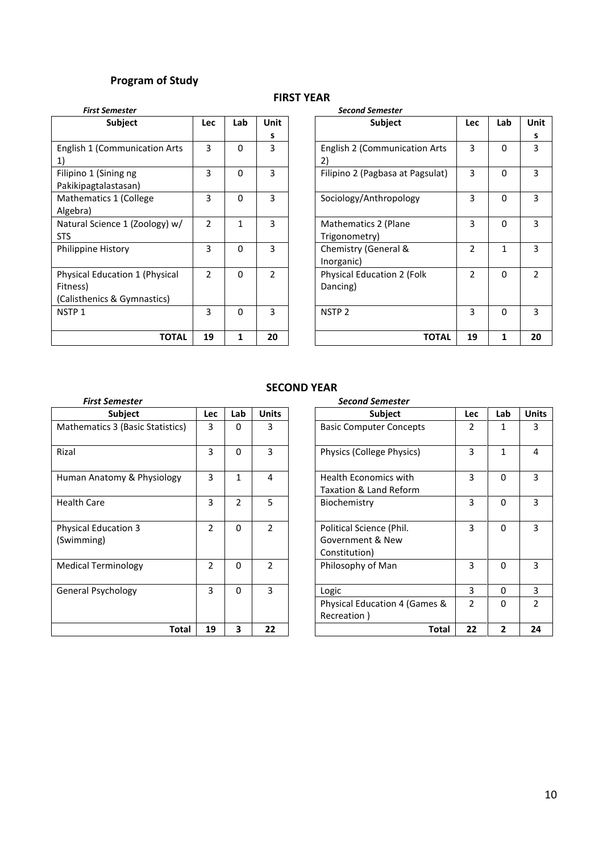# **Program of Study**

#### **FIRST YEAR**

| <b>First Semester</b>          |                |          |                | <b>Second Semester</b>                       |              |    |
|--------------------------------|----------------|----------|----------------|----------------------------------------------|--------------|----|
| <b>Subject</b>                 | <b>Lec</b>     | Lab      | <b>Unit</b>    | <b>Subject</b><br><b>Lec</b>                 | Lab          | Un |
|                                |                |          | s              |                                              |              | s  |
| English 1 (Communication Arts  | 3              | $\Omega$ | 3              | 3<br>English 2 (Communication Arts           | $\Omega$     | 3  |
| $\left( \frac{1}{2} \right)$   |                |          |                | 2)                                           |              |    |
| Filipino 1 (Sining ng          | 3              | $\Omega$ | 3              | 3<br>Filipino 2 (Pagbasa at Pagsulat)        | $\Omega$     | 3  |
| Pakikipagtalastasan)           |                |          |                |                                              |              |    |
| Mathematics 1 (College         | 3              | $\Omega$ | 3              | 3<br>Sociology/Anthropology                  | $\Omega$     | 3  |
| Algebra)                       |                |          |                |                                              |              |    |
| Natural Science 1 (Zoology) w/ | $\overline{2}$ | 1        | 3              | 3<br>Mathematics 2 (Plane                    | $\Omega$     | 3  |
| <b>STS</b>                     |                |          |                | Trigonometry)                                |              |    |
| Philippine History             | 3              | 0        | 3              | $\mathfrak{p}$<br>Chemistry (General &       | $\mathbf{1}$ | 3  |
|                                |                |          |                | Inorganic)                                   |              |    |
| Physical Education 1 (Physical | $\overline{2}$ | $\Omega$ | $\mathfrak{p}$ | $\mathfrak{p}$<br>Physical Education 2 (Folk | $\Omega$     | 2  |
| Fitness)                       |                |          |                | Dancing)                                     |              |    |
| (Calisthenics & Gymnastics)    |                |          |                |                                              |              |    |
| NSTP <sub>1</sub>              | 3              | $\Omega$ | 3              | 3<br>NSTP <sub>2</sub>                       | $\Omega$     | 3  |
|                                |                |          |                |                                              |              |    |
| <b>TOTAL</b>                   | 19             | 1        | 20             | <b>TOTAL</b><br>19                           | 1            | 2( |

| <b>Lec</b>     | Lab          | Unit           | Subject                                    | <b>Lec</b>     | Lab          | Unit           |
|----------------|--------------|----------------|--------------------------------------------|----------------|--------------|----------------|
|                |              | s              |                                            |                |              | s              |
| 3              | $\Omega$     | 3              | <b>English 2 (Communication Arts</b><br>2) | 3              | $\Omega$     | 3              |
| 3              | $\Omega$     | 3              | Filipino 2 (Pagbasa at Pagsulat)           | 3              | $\Omega$     | 3              |
| 3              | $\Omega$     | 3              | Sociology/Anthropology                     | 3              | $\Omega$     | 3              |
| $\overline{2}$ | $\mathbf{1}$ | 3              | Mathematics 2 (Plane<br>Trigonometry)      | 3              | $\Omega$     | 3              |
| 3              | 0            | 3              | Chemistry (General &<br>Inorganic)         | $\overline{2}$ | $\mathbf{1}$ | 3              |
| $\overline{2}$ | $\Omega$     | $\overline{2}$ | Physical Education 2 (Folk<br>Dancing)     | $\overline{2}$ | $\Omega$     | $\overline{2}$ |
| 3              | 0            | 3              | NSTP <sub>2</sub>                          | 3              | $\Omega$     | 3              |
| 19             | 1            | 20             | <b>TOTAL</b>                               | 19             | $\mathbf{1}$ | 20             |
|                |              |                |                                            |                |              |                |

# **SECOND YEAR**

|                                           |                |                |                | JLJUITU ILAIN                                                                  |                |
|-------------------------------------------|----------------|----------------|----------------|--------------------------------------------------------------------------------|----------------|
| <b>First Semester</b>                     |                |                |                | <b>Second Semester</b>                                                         |                |
| Subject                                   | Lec            | Lab            | <b>Units</b>   | Lab<br><b>Subject</b><br><b>Lec</b>                                            | Un             |
| Mathematics 3 (Basic Statistics)          | 3              | $\Omega$       | 3              | <b>Basic Computer Concepts</b><br>2<br>1                                       | 3              |
| Rizal                                     | 3              | $\Omega$       | 3              | 3<br>$\mathbf{1}$<br>Physics (College Physics)                                 | 4              |
| Human Anatomy & Physiology                | 3              | 1              | 4              | 3<br>$\Omega$<br><b>Health Economics with</b><br>Taxation & Land Reform        | 3              |
| <b>Health Care</b>                        | 3              | $\overline{2}$ | 5              | 3<br>$\Omega$<br>Biochemistry                                                  | 3              |
| <b>Physical Education 3</b><br>(Swimming) | $\overline{2}$ | $\Omega$       | $\overline{2}$ | 3<br>$\Omega$<br>Political Science (Phil.<br>Government & New<br>Constitution) | 3              |
| <b>Medical Terminology</b>                | $\overline{2}$ | $\Omega$       | $\overline{2}$ | 3<br>$\Omega$<br>Philosophy of Man                                             | 3              |
| <b>General Psychology</b>                 | 3              | $\Omega$       | 3              | 3<br>$\Omega$<br>Logic                                                         | 3              |
|                                           |                |                |                | $\mathcal{P}$<br>Physical Education 4 (Games &<br>$\Omega$<br>Recreation)      | $\overline{2}$ |
| Total                                     | 19             | 3              | 22             | $\overline{2}$<br>22<br><b>Total</b>                                           | 2 <sub>0</sub> |

| Subject<br><b>Basic Computer Concepts</b>              | <b>Lec</b><br>2 | Lab<br>1       | <b>Units</b>   |
|--------------------------------------------------------|-----------------|----------------|----------------|
|                                                        |                 |                |                |
|                                                        |                 |                | 3              |
| Physics (College Physics)                              | 3               | $\mathbf{1}$   | 4              |
| <b>Health Economics with</b><br>Taxation & Land Reform | 3               | $\Omega$       | 3              |
|                                                        | 3               | $\Omega$       | 3              |
| Political Science (Phil.<br>Government & New           | 3               | $\Omega$       | 3              |
|                                                        | 3               | $\Omega$       | 3              |
|                                                        | 3               | $\Omega$       | 3              |
| Physical Education 4 (Games &                          | $\overline{2}$  | $\Omega$       | $\overline{2}$ |
| Total                                                  | 22              | $\overline{2}$ | 24             |
|                                                        |                 |                |                |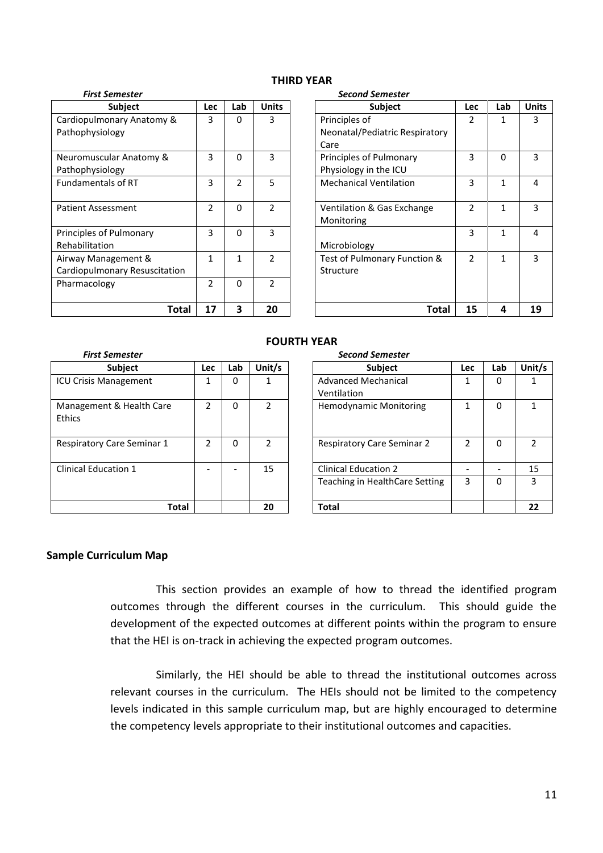| <b>Subject</b>                | <b>Lec</b>     | Lab            | <b>Units</b>   | <b>Subject</b>                 | <b>Lec</b>     | Lab          | Un           |
|-------------------------------|----------------|----------------|----------------|--------------------------------|----------------|--------------|--------------|
| Cardiopulmonary Anatomy &     | 3              | 0              | 3              | Principles of                  | 2              | 1            | 3            |
| Pathophysiology               |                |                |                | Neonatal/Pediatric Respiratory |                |              |              |
|                               |                |                |                | Care                           |                |              |              |
| Neuromuscular Anatomy &       | 3              | $\Omega$       | 3              | Principles of Pulmonary        | 3              | $\Omega$     |              |
| Pathophysiology               |                |                |                | Physiology in the ICU          |                |              |              |
| <b>Fundamentals of RT</b>     | 3              | $\overline{2}$ | 5              | <b>Mechanical Ventilation</b>  | 3              | $\mathbf{1}$ | 4            |
|                               |                |                |                |                                |                |              |              |
| <b>Patient Assessment</b>     | $\overline{2}$ | $\Omega$       | $\overline{2}$ | Ventilation & Gas Exchange     | $\mathfrak{p}$ | $\mathbf{1}$ | 3            |
|                               |                |                |                | Monitoring                     |                |              |              |
| Principles of Pulmonary       | 3              | $\Omega$       | 3              |                                | 3              | $\mathbf{1}$ | 4            |
| Rehabilitation                |                |                |                | Microbiology                   |                |              |              |
| Airway Management &           | 1              |                | $\mathfrak{D}$ | Test of Pulmonary Function &   | $\overline{2}$ | $\mathbf{1}$ | 3            |
| Cardiopulmonary Resuscitation |                |                |                | Structure                      |                |              |              |
| Pharmacology                  | 2              | 0              | $\mathcal{P}$  |                                |                |              |              |
|                               |                |                |                |                                |                |              |              |
| Total                         | 17             | 3              | 20             | Total                          | 15             | 4            | $\mathbf{1}$ |

#### **THIRD YEAR**

#### *First Semester Second Semester*

| <b>Subject</b>     | <b>Lec</b> | Lab            | <b>Units</b>             | Subject                        | <b>Lec</b>     | Lab          | <b>Units</b> |
|--------------------|------------|----------------|--------------------------|--------------------------------|----------------|--------------|--------------|
| nary Anatomy &     | 3          | 0              | 3                        | Principles of                  | 2              | 1            | 3            |
| logy               |            |                |                          | Neonatal/Pediatric Respiratory |                |              |              |
|                    |            |                |                          | Care                           |                |              |              |
| lar Anatomy &      | 3          | $\Omega$       | 3                        | Principles of Pulmonary        | 3              | $\Omega$     | 3            |
| logy               |            |                |                          | Physiology in the ICU          |                |              |              |
| Is of RT           | 3          | $\overline{2}$ | 5                        | <b>Mechanical Ventilation</b>  | 3              | $\mathbf{1}$ | 4            |
|                    |            |                |                          |                                |                |              |              |
| ssment             | 2          | $\Omega$       | $\overline{\phantom{a}}$ | Ventilation & Gas Exchange     | 2              | 1            | 3            |
|                    |            |                |                          | Monitoring                     |                |              |              |
| Pulmonary          | 3          | $\Omega$       | 3                        |                                | 3              | 1            | 4            |
| n                  |            |                |                          | Microbiology                   |                |              |              |
| agement &          | 1          | 1              | $\overline{\mathcal{L}}$ | Test of Pulmonary Function &   | $\overline{2}$ | 1            | 3            |
| nary Resuscitation |            |                |                          | Structure                      |                |              |              |
| ξy                 | 2          | $\Omega$       | $\overline{\phantom{a}}$ |                                |                |              |              |
|                    |            |                |                          |                                |                |              |              |
| Total              | 17         | 3              | 20                       | <b>Total</b>                   | 15             | 4            | 19           |

| <b>First Semester</b>              |                          |          |                | <b>Second Semester</b>                    |            |          |      |
|------------------------------------|--------------------------|----------|----------------|-------------------------------------------|------------|----------|------|
| Subject                            | <b>Lec</b>               | Lab      | Unit/s         | Subject                                   | <b>Lec</b> | Lab      | Unit |
| <b>ICU Crisis Management</b>       |                          | $\Omega$ |                | <b>Advanced Mechanical</b><br>Ventilation |            | 0        | 1    |
| Management & Health Care<br>Ethics | $\overline{\phantom{a}}$ | $\Omega$ | 2              | <b>Hemodynamic Monitoring</b>             |            | $\Omega$ | 1    |
| <b>Respiratory Care Seminar 1</b>  | 2                        | 0        | $\overline{2}$ | <b>Respiratory Care Seminar 2</b>         | 2          | $\Omega$ | 2    |
| Clinical Education 1               |                          |          | 15             | <b>Clinical Education 2</b>               |            |          | 15   |
|                                    |                          |          |                | Teaching in HealthCare Setting            | 3          | $\Omega$ | 3    |
| Total                              |                          |          | 20             | <b>Total</b>                              |            |          | 22   |

#### **FOURTH YEAR**

| iemester        |               |          |                          | <b>Second Semester</b>                    |            |          |                |
|-----------------|---------------|----------|--------------------------|-------------------------------------------|------------|----------|----------------|
| <b>Subject</b>  | <b>Lec</b>    | Lab      | Unit/s                   | Subject                                   | <b>Lec</b> | Lab      | Unit/s         |
| anagement       | 1             | $\Omega$ |                          | <b>Advanced Mechanical</b><br>Ventilation |            | 0        |                |
| t & Health Care | $\mathcal{P}$ | $\Omega$ | $\overline{\phantom{a}}$ | <b>Hemodynamic Monitoring</b>             | 1          | 0        | 1              |
| Care Seminar 1  | $\mathcal{P}$ | $\Omega$ | $\overline{\phantom{a}}$ | <b>Respiratory Care Seminar 2</b>         | 2          | $\Omega$ | $\overline{2}$ |
| ation 1         |               |          | 15                       | <b>Clinical Education 2</b>               |            |          | 15             |
|                 |               |          |                          | Teaching in HealthCare Setting            | 3          | 0        | 3              |
| <b>Total</b>    |               |          | 20                       | <b>Total</b>                              |            |          | 22             |

#### **Sample Curriculum Map**

This section provides an example of how to thread the identified program outcomes through the different courses in the curriculum. This should guide the development of the expected outcomes at different points within the program to ensure that the HEI is on-track in achieving the expected program outcomes.

Similarly, the HEI should be able to thread the institutional outcomes across relevant courses in the curriculum. The HEIs should not be limited to the competency levels indicated in this sample curriculum map, but are highly encouraged to determine the competency levels appropriate to their institutional outcomes and capacities.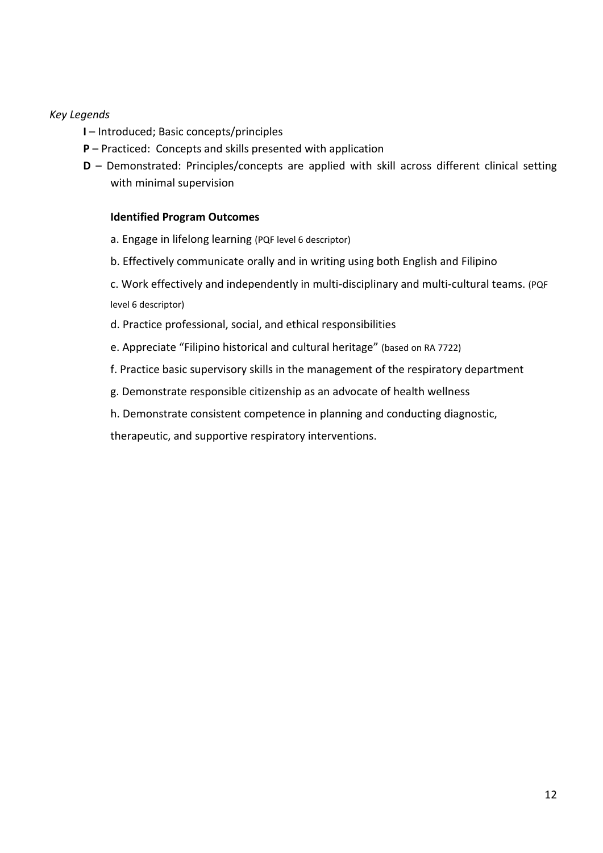# *Key Legends*

- **I** Introduced; Basic concepts/principles
- **P** Practiced: Concepts and skills presented with application
- **D** Demonstrated: Principles/concepts are applied with skill across different clinical setting with minimal supervision

### **Identified Program Outcomes**

- a. Engage in lifelong learning (PQF level 6 descriptor)
- b. Effectively communicate orally and in writing using both English and Filipino
- c. Work effectively and independently in multi-disciplinary and multi-cultural teams. (PQF level 6 descriptor)
- d. Practice professional, social, and ethical responsibilities
- e. Appreciate "Filipino historical and cultural heritage" (based on RA 7722)
- f. Practice basic supervisory skills in the management of the respiratory department
- g. Demonstrate responsible citizenship as an advocate of health wellness
- h. Demonstrate consistent competence in planning and conducting diagnostic,

therapeutic, and supportive respiratory interventions.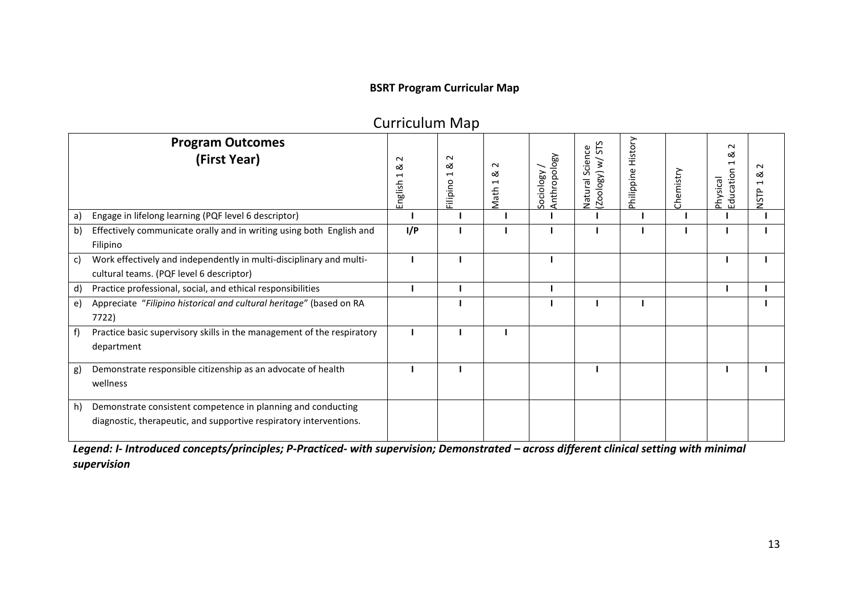# **BSRT Program Curricular Map**

|              |                                                                                                                                    |                        | . <b>.</b>                   |                          |                           |                                          |                       |           |                                           |                     |
|--------------|------------------------------------------------------------------------------------------------------------------------------------|------------------------|------------------------------|--------------------------|---------------------------|------------------------------------------|-----------------------|-----------|-------------------------------------------|---------------------|
|              | <b>Program Outcomes</b><br>(First Year)                                                                                            | $\sim$<br>∞<br>English | $\sim$<br>య<br>⊣<br>Filipino | $\sim$<br>∞<br>⊣<br>Math | Anthropology<br>Sociology | n<br>Natural Science<br>(Zoology) w/ STS | History<br>Philippine | Chemistry | $\sim$<br>∞<br>⊣<br>Education<br>Physical | $\sim$<br>య<br>NSTP |
| a)           | Engage in lifelong learning (PQF level 6 descriptor)                                                                               |                        |                              |                          |                           |                                          |                       |           |                                           |                     |
| b)           | Effectively communicate orally and in writing using both English and<br>Filipino                                                   | I/P                    |                              |                          |                           |                                          |                       |           |                                           |                     |
| $\mathsf{c}$ | Work effectively and independently in multi-disciplinary and multi-<br>cultural teams. (PQF level 6 descriptor)                    |                        |                              |                          |                           |                                          |                       |           |                                           |                     |
| d)           | Practice professional, social, and ethical responsibilities                                                                        |                        |                              |                          |                           |                                          |                       |           |                                           |                     |
| $\epsilon$   | Appreciate "Filipino historical and cultural heritage" (based on RA<br>7722)                                                       |                        |                              |                          |                           |                                          |                       |           |                                           |                     |
| $-f)$        | Practice basic supervisory skills in the management of the respiratory<br>department                                               |                        |                              |                          |                           |                                          |                       |           |                                           |                     |
| g)           | Demonstrate responsible citizenship as an advocate of health<br>wellness                                                           |                        |                              |                          |                           |                                          |                       |           |                                           |                     |
| h)           | Demonstrate consistent competence in planning and conducting<br>diagnostic, therapeutic, and supportive respiratory interventions. |                        |                              |                          |                           |                                          |                       |           |                                           |                     |

Curriculum Map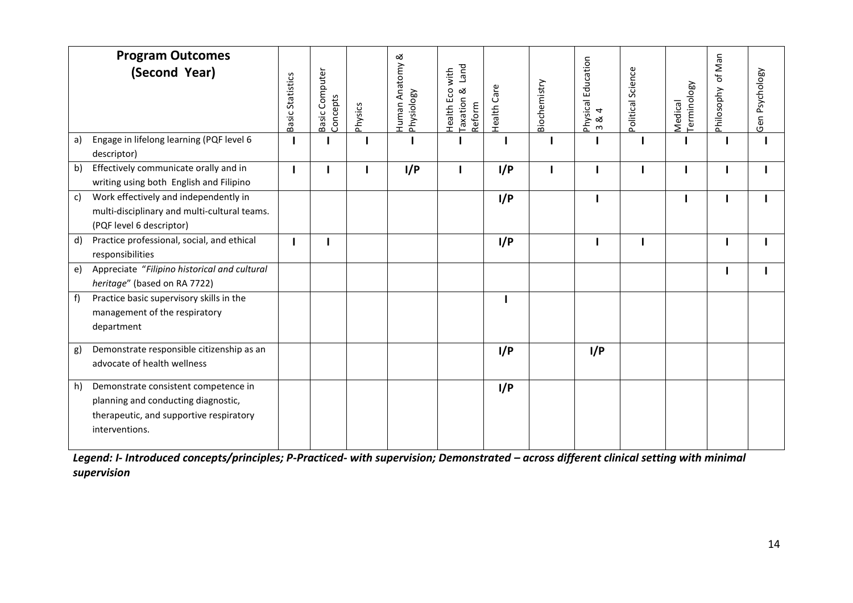|    | <b>Program Outcomes</b><br>(Second Year)                                                                                                 | Basic Statistics | Basic Computer<br>Concepts | Physics | ∞<br>Human Anatomy &<br>Physiology | <b>Land</b><br>Health Eco with<br>Taxation &<br>Reform | Care<br>Health | Biochemistry | Physical Education<br>$\overline{4}$<br>ಡ<br>$\mathsf{m}$ | Political Science | Medical<br>Terminology | of Man<br>Philosophy | Gen Psychology |
|----|------------------------------------------------------------------------------------------------------------------------------------------|------------------|----------------------------|---------|------------------------------------|--------------------------------------------------------|----------------|--------------|-----------------------------------------------------------|-------------------|------------------------|----------------------|----------------|
| a) | Engage in lifelong learning (PQF level 6<br>descriptor)                                                                                  |                  |                            |         |                                    |                                                        |                |              |                                                           |                   |                        | ı                    |                |
| b) | Effectively communicate orally and in<br>writing using both English and Filipino                                                         |                  |                            |         | I/P                                |                                                        | I/P            | J.           |                                                           |                   |                        | ı                    |                |
| c) | Work effectively and independently in<br>multi-disciplinary and multi-cultural teams.<br>(PQF level 6 descriptor)                        |                  |                            |         |                                    |                                                        | I/P            |              |                                                           |                   | H                      | H                    |                |
| d) | Practice professional, social, and ethical<br>responsibilities                                                                           |                  |                            |         |                                    |                                                        | I/P            |              |                                                           |                   |                        |                      |                |
| e) | Appreciate "Filipino historical and cultural<br>heritage" (based on RA 7722)                                                             |                  |                            |         |                                    |                                                        |                |              |                                                           |                   |                        |                      |                |
| f) | Practice basic supervisory skills in the<br>management of the respiratory<br>department                                                  |                  |                            |         |                                    |                                                        |                |              |                                                           |                   |                        |                      |                |
| g) | Demonstrate responsible citizenship as an<br>advocate of health wellness                                                                 |                  |                            |         |                                    |                                                        | I/P            |              | I/P                                                       |                   |                        |                      |                |
| h) | Demonstrate consistent competence in<br>planning and conducting diagnostic,<br>therapeutic, and supportive respiratory<br>interventions. |                  |                            |         |                                    |                                                        | I/P            |              |                                                           |                   |                        |                      |                |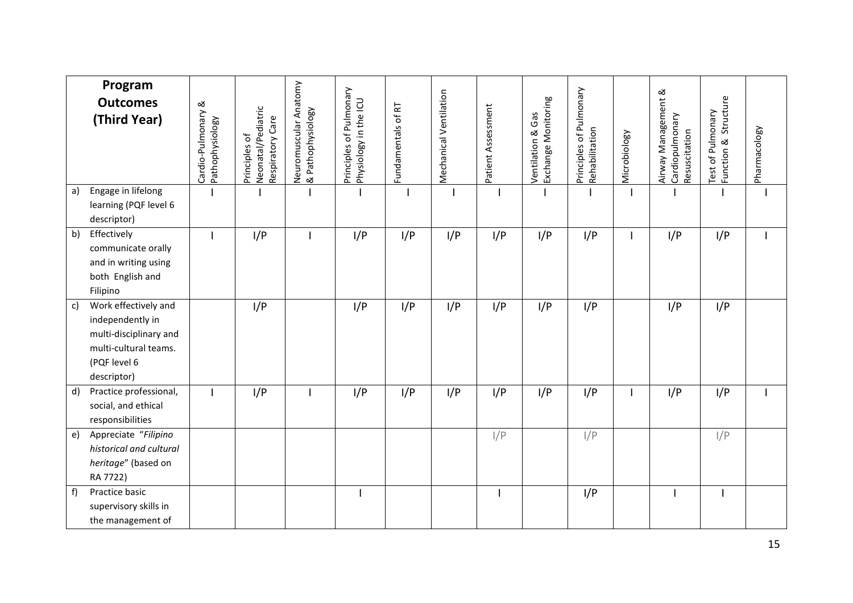|    | Program<br><b>Outcomes</b><br>(Third Year)                                                                                 | Cardio-Pulmonary &<br>Pathophysiology | Neonatal/Pediatric<br>Respiratory Care<br>Principles of | Neuromuscular Anatomy<br>& Pathophysiology | Principles of Pulmonary<br>Physiology in the ICU | Fundamentals of RT | Mechanical Ventilation | Patient Assessment | Exchange Monitoring<br>Ventilation & Gas | Principles of Pulmonary<br>Rehabilitation | Microbiology | Airway Management &<br>Cardiopulmonary<br>Resuscitation | Test of Pulmonary<br>Function & Structure | Pharmacology |
|----|----------------------------------------------------------------------------------------------------------------------------|---------------------------------------|---------------------------------------------------------|--------------------------------------------|--------------------------------------------------|--------------------|------------------------|--------------------|------------------------------------------|-------------------------------------------|--------------|---------------------------------------------------------|-------------------------------------------|--------------|
| a) | Engage in lifelong<br>learning (PQF level 6<br>descriptor)                                                                 |                                       |                                                         |                                            |                                                  |                    |                        |                    |                                          |                                           |              |                                                         |                                           |              |
| b) | Effectively<br>communicate orally<br>and in writing using<br>both English and<br>Filipino                                  |                                       | I/P                                                     |                                            | I/P                                              | I/P                | I/P                    | I/P                | I/P                                      | I/P                                       |              | I/P                                                     | I/P                                       |              |
| c) | Work effectively and<br>independently in<br>multi-disciplinary and<br>multi-cultural teams.<br>(PQF level 6<br>descriptor) |                                       | I/P                                                     |                                            | I/P                                              | I/P                | I/P                    | I/P                | I/P                                      | I/P                                       |              | I/P                                                     | I/P                                       |              |
| d) | Practice professional,<br>social, and ethical<br>responsibilities                                                          |                                       | I/P                                                     |                                            | I/P                                              | I/P                | I/P                    | I/P                | I/P                                      | I/P                                       |              | I/P                                                     | I/P                                       |              |
| e) | Appreciate "Filipino<br>historical and cultural<br>heritage" (based on<br>RA 7722)                                         |                                       |                                                         |                                            |                                                  |                    |                        | I/P                |                                          | I/P                                       |              |                                                         | I/P                                       |              |
| f) | Practice basic<br>supervisory skills in<br>the management of                                                               |                                       |                                                         |                                            |                                                  |                    |                        |                    |                                          | I/P                                       |              |                                                         |                                           |              |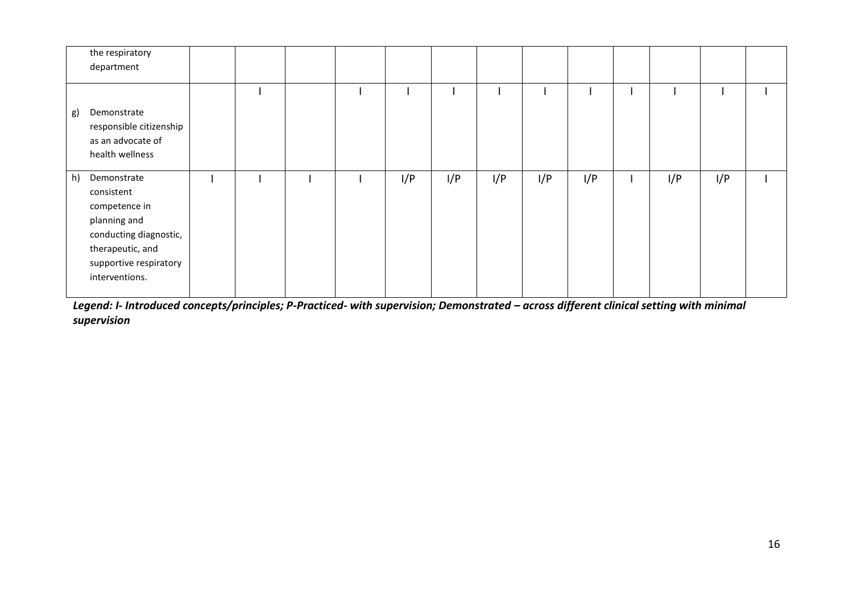| the respiratory<br>department                                                                                                                              |  |  |     |     |     |     |     |     |     |  |
|------------------------------------------------------------------------------------------------------------------------------------------------------------|--|--|-----|-----|-----|-----|-----|-----|-----|--|
| Demonstrate<br>g)<br>responsible citizenship<br>as an advocate of<br>health wellness                                                                       |  |  |     |     |     |     |     |     |     |  |
| h)<br>Demonstrate<br>consistent<br>competence in<br>planning and<br>conducting diagnostic,<br>therapeutic, and<br>supportive respiratory<br>interventions. |  |  | I/P | I/P | I/P | I/P | I/P | I/P | I/P |  |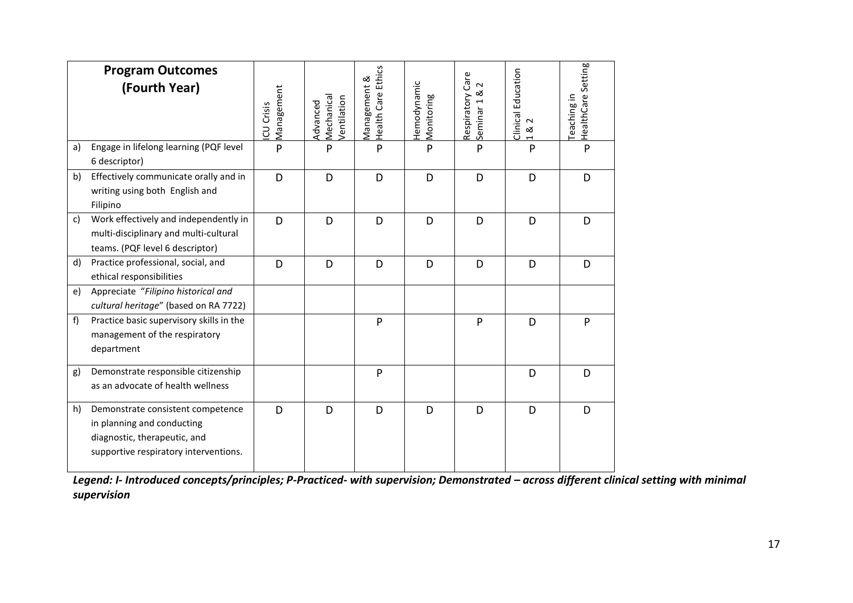|    | <b>Program Outcomes</b><br>(Fourth Year)                                                                                                 | Management<br>CU Crisis | Mechanical<br>Ventilation<br>Advanced | <b>Health Care Ethics</b><br>Management & | Hemodynamic<br>Monitoring | Respiratory Care<br>$\sim$<br>ಹ<br>Seminar <sub>1</sub> | Clinical Education<br>$\sim$<br>ಹ<br>$\overline{ }$ | Health Care Setting<br>Teaching in |
|----|------------------------------------------------------------------------------------------------------------------------------------------|-------------------------|---------------------------------------|-------------------------------------------|---------------------------|---------------------------------------------------------|-----------------------------------------------------|------------------------------------|
| a) | Engage in lifelong learning (PQF level<br>6 descriptor)                                                                                  | P                       | P                                     | P                                         | P                         | P                                                       | P                                                   | P                                  |
| b) | Effectively communicate orally and in<br>writing using both English and<br>Filipino                                                      | D                       | D                                     | D                                         | D                         | D                                                       | D                                                   | D                                  |
| c) | Work effectively and independently in<br>multi-disciplinary and multi-cultural<br>teams. (PQF level 6 descriptor)                        | D                       | D                                     | D                                         | D                         | D                                                       | D                                                   | D                                  |
| d) | Practice professional, social, and<br>ethical responsibilities                                                                           | D                       | D                                     | D                                         | D                         | D                                                       | D                                                   | D                                  |
| e) | Appreciate "Filipino historical and<br>cultural heritage" (based on RA 7722)                                                             |                         |                                       |                                           |                           |                                                         |                                                     |                                    |
| f) | Practice basic supervisory skills in the<br>management of the respiratory<br>department                                                  |                         |                                       | P                                         |                           | P                                                       | D                                                   | P                                  |
| g) | Demonstrate responsible citizenship<br>as an advocate of health wellness                                                                 |                         |                                       | P                                         |                           |                                                         | D                                                   | D                                  |
| h) | Demonstrate consistent competence<br>in planning and conducting<br>diagnostic, therapeutic, and<br>supportive respiratory interventions. | D                       | D                                     | D                                         | D                         | D                                                       | D                                                   | D                                  |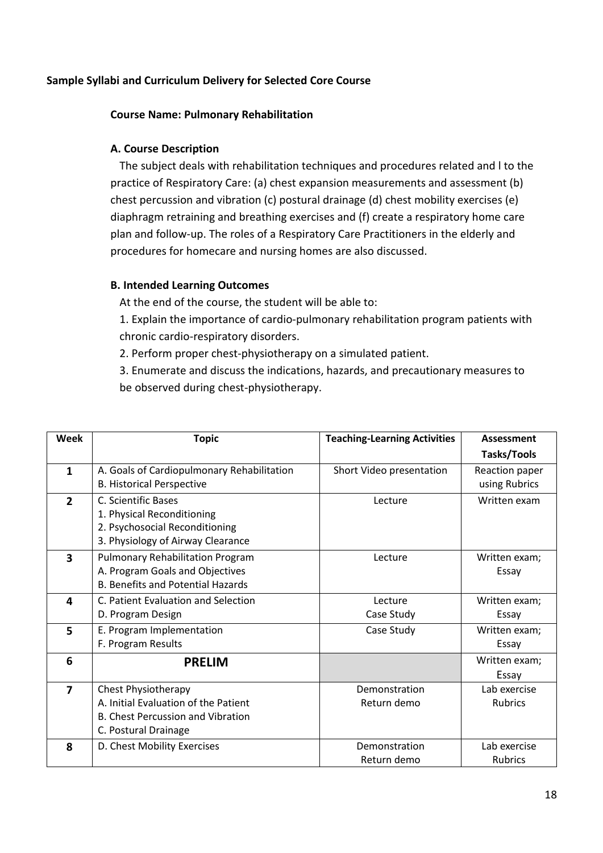# **Sample Syllabi and Curriculum Delivery for Selected Core Course**

#### **Course Name: Pulmonary Rehabilitation**

# **A. Course Description**

The subject deals with rehabilitation techniques and procedures related and l to the practice of Respiratory Care: (a) chest expansion measurements and assessment (b) chest percussion and vibration (c) postural drainage (d) chest mobility exercises (e) diaphragm retraining and breathing exercises and (f) create a respiratory home care plan and follow-up. The roles of a Respiratory Care Practitioners in the elderly and procedures for homecare and nursing homes are also discussed.

## **B. Intended Learning Outcomes**

At the end of the course, the student will be able to:

1. Explain the importance of cardio-pulmonary rehabilitation program patients with chronic cardio-respiratory disorders.

2. Perform proper chest-physiotherapy on a simulated patient.

3. Enumerate and discuss the indications, hazards, and precautionary measures to be observed during chest-physiotherapy.

| <b>Week</b>             | <b>Topic</b>                               | <b>Teaching-Learning Activities</b> | Assessment     |
|-------------------------|--------------------------------------------|-------------------------------------|----------------|
|                         |                                            |                                     | Tasks/Tools    |
| $\mathbf{1}$            | A. Goals of Cardiopulmonary Rehabilitation | Short Video presentation            | Reaction paper |
|                         | <b>B. Historical Perspective</b>           |                                     | using Rubrics  |
| $\overline{2}$          | C. Scientific Bases                        | Lecture                             | Written exam   |
|                         | 1. Physical Reconditioning                 |                                     |                |
|                         | 2. Psychosocial Reconditioning             |                                     |                |
|                         | 3. Physiology of Airway Clearance          |                                     |                |
| $\overline{\mathbf{3}}$ | <b>Pulmonary Rehabilitation Program</b>    | Lecture                             | Written exam;  |
|                         | A. Program Goals and Objectives            |                                     | Essay          |
|                         | <b>B. Benefits and Potential Hazards</b>   |                                     |                |
| 4                       | C. Patient Evaluation and Selection        | Lecture                             | Written exam;  |
|                         | D. Program Design                          | Case Study                          | Essay          |
| 5                       | E. Program Implementation                  | Case Study                          | Written exam;  |
|                         | F. Program Results                         |                                     | Essay          |
| 6                       | <b>PRELIM</b>                              |                                     | Written exam;  |
|                         |                                            |                                     | Essay          |
| $\overline{7}$          | <b>Chest Physiotherapy</b>                 | Demonstration                       | Lab exercise   |
|                         | A. Initial Evaluation of the Patient       | Return demo                         | <b>Rubrics</b> |
|                         | <b>B. Chest Percussion and Vibration</b>   |                                     |                |
|                         | C. Postural Drainage                       |                                     |                |
| 8                       | D. Chest Mobility Exercises                | Demonstration                       | Lab exercise   |
|                         |                                            | Return demo                         | <b>Rubrics</b> |